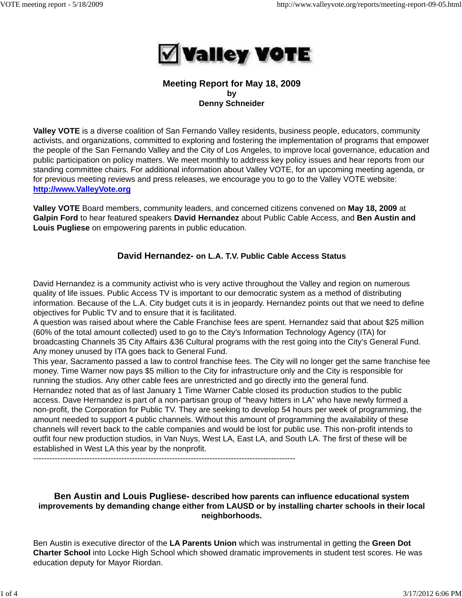

## **Meeting Report for May 18, 2009 by Denny Schneider**

**Valley VOTE** is a diverse coalition of San Fernando Valley residents, business people, educators, community activists, and organizations, committed to exploring and fostering the implementation of programs that empower the people of the San Fernando Valley and the City of Los Angeles, to improve local governance, education and public participation on policy matters. We meet monthly to address key policy issues and hear reports from our standing committee chairs. For additional information about Valley VOTE, for an upcoming meeting agenda, or for previous meeting reviews and press releases, we encourage you to go to the Valley VOTE website: **http://www.ValleyVote.org**

**Valley VOTE** Board members, community leaders, and concerned citizens convened on **May 18, 2009** at **Galpin Ford** to hear featured speakers **David Hernandez** about Public Cable Access, and **Ben Austin and Louis Pugliese** on empowering parents in public education.

# **David Hernandez- on L.A. T.V. Public Cable Access Status**

David Hernandez is a community activist who is very active throughout the Valley and region on numerous quality of life issues. Public Access TV is important to our democratic system as a method of distributing information. Because of the L.A. City budget cuts it is in jeopardy. Hernandez points out that we need to define objectives for Public TV and to ensure that it is facilitated.

A question was raised about where the Cable Franchise fees are spent. Hernandez said that about \$25 million (60% of the total amount collected) used to go to the City's Information Technology Agency (ITA) for broadcasting Channels 35 City Affairs &36 Cultural programs with the rest going into the City's General Fund. Any money unused by ITA goes back to General Fund.

This year, Sacramento passed a law to control franchise fees. The City will no longer get the same franchise fee money. Time Warner now pays \$5 million to the City for infrastructure only and the City is responsible for running the studios. Any other cable fees are unrestricted and go directly into the general fund.

Hernandez noted that as of last January 1 Time Warner Cable closed its production studios to the public access. Dave Hernandez is part of a non-partisan group of "heavy hitters in LA" who have newly formed a non-profit, the Corporation for Public TV. They are seeking to develop 54 hours per week of programming, the amount needed to support 4 public channels. Without this amount of programming the availability of these channels will revert back to the cable companies and would be lost for public use. This non-profit intends to outfit four new production studios, in Van Nuys, West LA, East LA, and South LA. The first of these will be established in West LA this year by the nonprofit.

--------------------------------------------------------------------------------------------------

### **Ben Austin and Louis Pugliese- described how parents can influence educational system improvements by demanding change either from LAUSD or by installing charter schools in their local neighborhoods.**

Ben Austin is executive director of the **LA Parents Union** which was instrumental in getting the **Green Dot Charter School** into Locke High School which showed dramatic improvements in student test scores. He was education deputy for Mayor Riordan.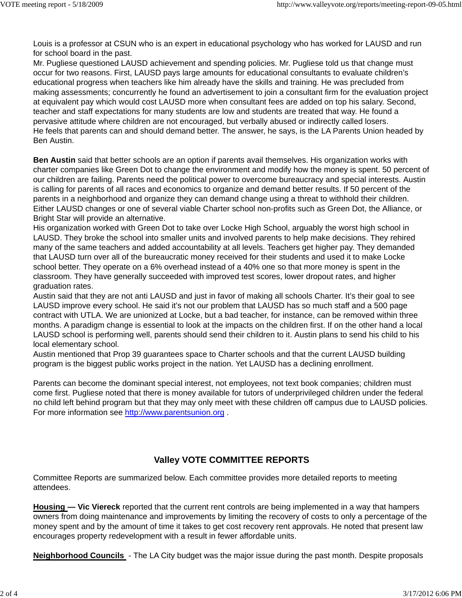Louis is a professor at CSUN who is an expert in educational psychology who has worked for LAUSD and run for school board in the past.

Mr. Pugliese questioned LAUSD achievement and spending policies. Mr. Pugliese told us that change must occur for two reasons. First, LAUSD pays large amounts for educational consultants to evaluate children's educational progress when teachers like him already have the skills and training. He was precluded from making assessments; concurrently he found an advertisement to join a consultant firm for the evaluation project at equivalent pay which would cost LAUSD more when consultant fees are added on top his salary. Second, teacher and staff expectations for many students are low and students are treated that way. He found a pervasive attitude where children are not encouraged, but verbally abused or indirectly called losers. He feels that parents can and should demand better. The answer, he says, is the LA Parents Union headed by Ben Austin.

**Ben Austin** said that better schools are an option if parents avail themselves. His organization works with charter companies like Green Dot to change the environment and modify how the money is spent. 50 percent of our children are failing. Parents need the political power to overcome bureaucracy and special interests. Austin is calling for parents of all races and economics to organize and demand better results. If 50 percent of the parents in a neighborhood and organize they can demand change using a threat to withhold their children. Either LAUSD changes or one of several viable Charter school non-profits such as Green Dot, the Alliance, or Bright Star will provide an alternative.

His organization worked with Green Dot to take over Locke High School, arguably the worst high school in LAUSD. They broke the school into smaller units and involved parents to help make decisions. They rehired many of the same teachers and added accountability at all levels. Teachers get higher pay. They demanded that LAUSD turn over all of the bureaucratic money received for their students and used it to make Locke school better. They operate on a 6% overhead instead of a 40% one so that more money is spent in the classroom. They have generally succeeded with improved test scores, lower dropout rates, and higher graduation rates.

Austin said that they are not anti LAUSD and just in favor of making all schools Charter. It's their goal to see LAUSD improve every school. He said it's not our problem that LAUSD has so much staff and a 500 page contract with UTLA. We are unionized at Locke, but a bad teacher, for instance, can be removed within three months. A paradigm change is essential to look at the impacts on the children first. If on the other hand a local LAUSD school is performing well, parents should send their children to it. Austin plans to send his child to his local elementary school.

Austin mentioned that Prop 39 guarantees space to Charter schools and that the current LAUSD building program is the biggest public works project in the nation. Yet LAUSD has a declining enrollment.

Parents can become the dominant special interest, not employees, not text book companies; children must come first. Pugliese noted that there is money available for tutors of underprivileged children under the federal no child left behind program but that they may only meet with these children off campus due to LAUSD policies. For more information see http://www.parentsunion.org .

# **Valley VOTE COMMITTEE REPORTS**

Committee Reports are summarized below. Each committee provides more detailed reports to meeting attendees.

**Housing — Vic Viereck** reported that the current rent controls are being implemented in a way that hampers owners from doing maintenance and improvements by limiting the recovery of costs to only a percentage of the money spent and by the amount of time it takes to get cost recovery rent approvals. He noted that present law encourages property redevelopment with a result in fewer affordable units.

**Neighborhood Councils** - The LA City budget was the major issue during the past month. Despite proposals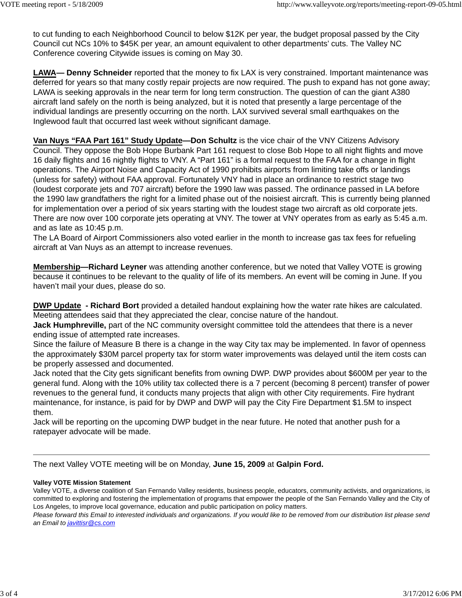to cut funding to each Neighborhood Council to below \$12K per year, the budget proposal passed by the City Council cut NCs 10% to \$45K per year, an amount equivalent to other departments' cuts. The Valley NC Conference covering Citywide issues is coming on May 30.

**LAWA— Denny Schneider** reported that the money to fix LAX is very constrained. Important maintenance was deferred for years so that many costly repair projects are now required. The push to expand has not gone away; LAWA is seeking approvals in the near term for long term construction. The question of can the giant A380 aircraft land safely on the north is being analyzed, but it is noted that presently a large percentage of the individual landings are presently occurring on the north. LAX survived several small earthquakes on the Inglewood fault that occurred last week without significant damage.

**Van Nuys "FAA Part 161" Study Update—Don Schultz** is the vice chair of the VNY Citizens Advisory Council. They oppose the Bob Hope Burbank Part 161 request to close Bob Hope to all night flights and move 16 daily flights and 16 nightly flights to VNY. A "Part 161" is a formal request to the FAA for a change in flight operations. The Airport Noise and Capacity Act of 1990 prohibits airports from limiting take offs or landings (unless for safety) without FAA approval. Fortunately VNY had in place an ordinance to restrict stage two (loudest corporate jets and 707 aircraft) before the 1990 law was passed. The ordinance passed in LA before the 1990 law grandfathers the right for a limited phase out of the noisiest aircraft. This is currently being planned for implementation over a period of six years starting with the loudest stage two aircraft as old corporate jets. There are now over 100 corporate jets operating at VNY. The tower at VNY operates from as early as 5:45 a.m. and as late as 10:45 p.m.

The LA Board of Airport Commissioners also voted earlier in the month to increase gas tax fees for refueling aircraft at Van Nuys as an attempt to increase revenues.

**Membership—Richard Leyner** was attending another conference, but we noted that Valley VOTE is growing because it continues to be relevant to the quality of life of its members. An event will be coming in June. If you haven't mail your dues, please do so.

**DWP Update - Richard Bort** provided a detailed handout explaining how the water rate hikes are calculated. Meeting attendees said that they appreciated the clear, concise nature of the handout.

**Jack Humphreville,** part of the NC community oversight committee told the attendees that there is a never ending issue of attempted rate increases.

Since the failure of Measure B there is a change in the way City tax may be implemented. In favor of openness the approximately \$30M parcel property tax for storm water improvements was delayed until the item costs can be properly assessed and documented.

Jack noted that the City gets significant benefits from owning DWP. DWP provides about \$600M per year to the general fund. Along with the 10% utility tax collected there is a 7 percent (becoming 8 percent) transfer of power revenues to the general fund, it conducts many projects that align with other City requirements. Fire hydrant maintenance, for instance, is paid for by DWP and DWP will pay the City Fire Department \$1.5M to inspect them.

Jack will be reporting on the upcoming DWP budget in the near future. He noted that another push for a ratepayer advocate will be made.

The next Valley VOTE meeting will be on Monday, **June 15, 2009** at **Galpin Ford.**

#### **Valley VOTE Mission Statement**

Valley VOTE, a diverse coalition of San Fernando Valley residents, business people, educators, community activists, and organizations, is committed to exploring and fostering the implementation of programs that empower the people of the San Fernando Valley and the City of Los Angeles, to improve local governance, education and public participation on policy matters.

*Please forward this Email to interested individuals and organizations. If you would like to be removed from our distribution list please send an Email to javittisr@cs.com*